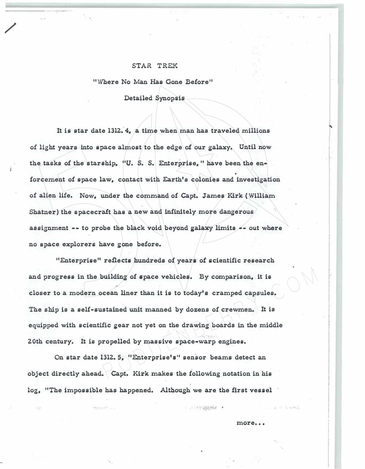## STAR TREK

/

**"Where No Man Has Gone Before"** 

**Detailed Synopsis** 

It is star date 1312. 4, a time when man has traveled millions of light years into space almost to the edge of our galaxy. Until now **the tasks of the starship, "U. S. S. Enterprise," have been the en•**  forcement of space law, contact with Earth's colonies and investigation **of alien life. Now, under the command of Capt. James Kirk ( William Shatner) the spacecraft has a new and infinitely more dangerous**  assignment -- to probe the black void beyond galaxy limits -- out where **no apace explorers have gone before.** 

**"Enterprise" reflect, hundreds of years of acientific research**  and progress in the building of space vehicles. By comparison, it is closer to a modern ocean liner than it is to today's cramped capsules. **The ship is a self-sustained unit manned by dozens of crewmen. It is equipped with scientific' gear not yet on the drawing boards in the middle 20th century. It is propelled by massive space-warp engines.**  wilding of space vehicles. By comparison, it is<br>cean liner than it is to today's cramped capsules.<br>stained unit manned by dozens of crewmen. It is<br>fic gear not yet on the drawing boards in the middle<br>ropelled by massive sp

On star date 1312. 5, "Enterprise's" sensor beams detect an **object directly ahead. Capt. Kirk makes the following notation in bis log, "The impossible has happened. Although we are the first vessel** 

... , .. ·

more...

● 上下にはおはば ●

 $\mathbf{e}^{\mathbf{e}} \cdot \mathbf{e}^{\mathbf{e}}$ 

'

,. . f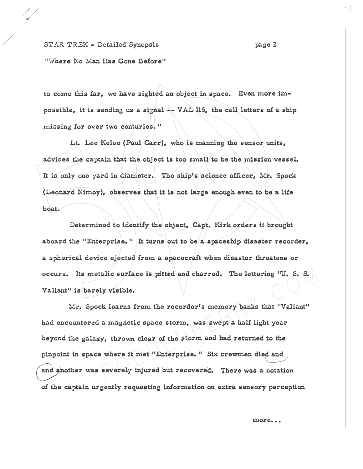## **ST AR TREK - Detailed Synopsis** page 2

/

/

 $\cdot$  r

**"Where No Man Has Cione Before"** 

to come this far, we have sighted an object in space. Even more impossible, it is sending us a signal  $\rightarrow$  **VAL** 115, the call letters of a ship **missing !or over two centuries.** <sup>11</sup>

**Lt. Lee Kelso (Paul Carr), who ia manning the sensor units,**  advises the captain that the object is too small/to be the mission vessel. **It is only one yard in diameter. The ship's science officer, Mr. Spock**  (Leonard Nimoy), observes that it is not large enough even to be a life **boat.** 

**Determined to identiiy the object, Capt. Kirk orders it brought**  aboard the "Enterprise." It turns out to be a spaceship disaster recorder, **a spherical device ejected from a spacecraft when disaster threatens or occurs.** Its metalic surface is pitted and charred. The lettering "U. S. S. **Valiant" is barely visible.** 

**Mr. Spock learns from the recorder's memory banks that ''Valiant"**  had encountered a magnetic space storm, was swept a half light year beyond the galaxy, thrown clear of the storm and had returned to the **pinpoint in space where it met "Enterprise.** 11 **Six crewmen died and**  and ahother was severely injured but recovered. There was a notation of the captain urgently requesting information on extra sensory perception R O D D E N B E R R Y . C O M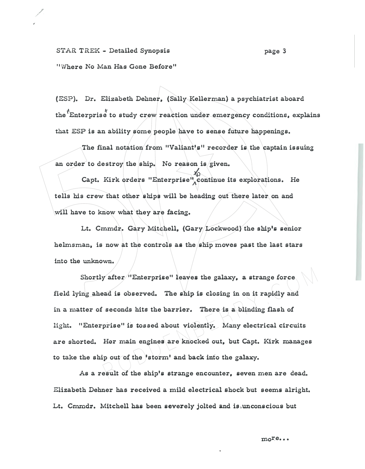**STAR TREK - Detailed Synopsis**  <sup>11</sup>**Where No Man Has Gone Before"** 

/ ,

> **(ESP). Dr. Elizabeth Dehner, (Sally Kellerman) a psychiatrist aboard**  the <sup>"</sup>Enterprise" to study crew reaction under emergency conditions, explains **that ESP is an ability some people have to aense future happenings.**

The final notation from "Valiant's" recorder is the captain issuing **an order to destroy the ship. No reason is given.** 

Capt. Kirk orders "Enterprise" continue its explorations. He **tells bis crew that othor ships will be heading out there later on and will have to know what they are facing.** 

**Lt. Cmmdr. Ciary Mitchell, (Ciary Lockwood) the ship's senior helmsman, is now at the controls aa the ship moves past the last stars into the unknown.** 

Shortly after "Enterprise" leaves the galaxy, a strange force **field lying ahead is observed. The ship is closing in on it rapidly and in a matter of seconds hits the barrier. There is a blinding !lash o! light. "Enterprise"** is **tossed about violently. Many electrical circuits are shorted. Her main engines are knocked out, but Capt. Kirk manages to take the ship out of the 'storm' and back info the galaxy.**  where the same force and is observed. The ship is closing in on it rapidly and<br>ad is observed. The ship is closing in on it rapidly and<br>seconds hits the barrier. There is a blinding flash of<br>prise" is tossed about violentl

**As a result of the ship's strange encounter, seven men are dead. Elizabeth Dehner has received a mild electrical shock but seems alright.**  Lt. Cmmdr. Mitchell has been severely jolted and is unconscious but

•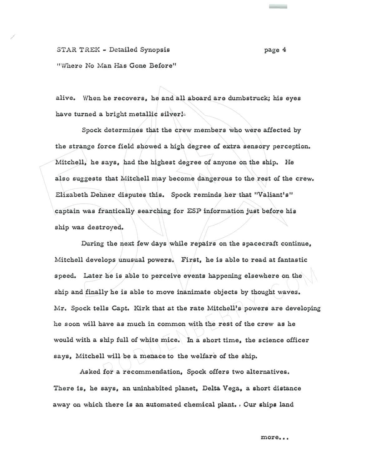**STAR TREK - Detailed Synopsis page 4 "W'here No Man Has Cione Before"** 

/

**alive. When he recovers, he and all aboard are dumbstruck; his eyes**  have turned a bright metallic silver!-

Spock determines that the crew members who were affected by the strange force field showed a high degree of extra sensory perception. **Mitchell, he says, bad the highest degree of anyone on the ship. He**  also suggests that Mitchell may become dangerous to the rest of the crew. **Elizabeth Dehner disputes this. Spock reminds her that "Valiant's"**  captain was frantically searching for ESP information just before his **ship was destroyed.** 

During the next few days while repairs on the spacecraft continue, **Mitchell develops unusual powers. First, he is able to read at fantastic**  speed. Later he is able to perceive events happening elsewhere on the **ship and finally he is able to move inanimate objects by thought waves. Mr. Spock tells Capt. Kirk that at the rate Mitchell's powers are developing he soon will have as much in common with the rest o! the crew as be**  would with a ship full of white mice. In a short time, the science officer says, Mitchell will be a menace to the welfare of the ship. As is able to perceive events happening elsewhere on the<br>ly he is able to move inanimate objects by thought waves.<br>ls Capt. Kirk that at the rate Mitchell's powers are developing<br>ave as much in common with the rest of the

Asked for a recommendation, Spock offers two alternatives. There is, he says, an uninhabited planet, Delta Vega, a short distance away on which there is an automated chemical plant. , Our ships land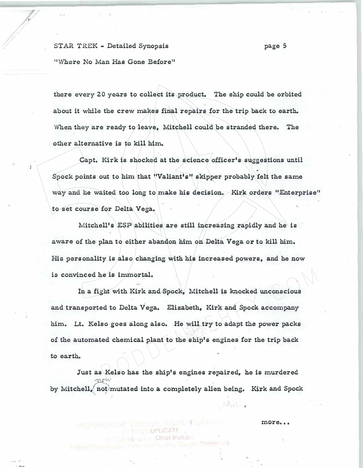**STAR TREK • Detailed Synopsis page 5** 

*V* 

**''Where No Man Has Gone Before"** 

there every 20 years to collect its product. The ship could be orbited about it while the crew makes final repairs for the trip back to earth. **Vlhen they are ready to leave, Mitchell could be stranded there. The other alternative is to kill him.** 

Capt. Kirk is shocked at the science officer's suggestions until **Spock points out to him that "Valiant's" skipper probably felt the same way and he waited too long to make hie decision. Kirk orders "Enterprise" to set course !or Delta Vega.** 

Mitchell's ESP abilities are still increasing rapidly and he is aware of the plan to either abandon him on Delta Vega or to kill him. **His personality is also changing with hie increased powers, and he now is convinced he is immortal.** 

**In a fight with Kirk and Spock, Mitchell is knocked unconscious and transported to Delta Vega. Elizabeth, Kirk and Spock accompany him. Lt. Kelso goes along also. He �ill.try to adapt the power packs**  of the automated chemical plant to the ship's engines for the trip back **to earth.**  New Islam Space of the Mitchell is knocked unconscious<br>
Report with Kirk and Spock, Mitchell is knocked unconscious<br>
Report of Delta Vega. Elizabeth, Kirk and Spock accompany<br>
Report of the Ship's engines for the trip back

**Just as Kelso has the ship's engines repaired, he is murdered**   $m$  $\sigma$ *w* by Mitchell, not mutated into a completely alien being. Kirk and Spock

more...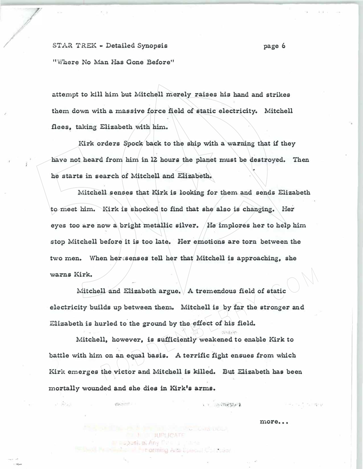/ **STAR TREK .. Detailed Synopsis page 6** 

**"Where No Man Has Cione Before"** 

**attempt to kill him but Mitchell merely raises his hand and strikes them down with a massive !orce field of static electricity. Mitchell flees, taking Elizabeth with him.** 

**Kirk orders Spock back to the ship with a warning that if they have not heard from him in 12 hours the planet must be destroyed. Then he starts in search of Mitchell and Elizabeth.** 

**Mitchell senses that Kirk is looking for them and sends Elizabeth**  to meet him. Kirk is shocked to find that she also is changing. Her **eyes too &.re now a bright metallic silver. He implores her to help him stop Mitchell before it is too late. Her emotions are torn between the**  two men. When hersenses tell her that Mitchell is approaching, she **warns Kirk.** 

**Mitchell and Elizabeth argue. A tremendous field of static electricity builds up between them. Mitchell is by fur the stronger and**  Elizabeth is hurled to the ground by the effect of his field.

Mitchell, however, is sufficiently weakened to enable Kirk to battle with him on an equal basis. A terrific fight ensues from which Kirk emerges the victor and Mitchell is killed. But Elizabeth has been **mortally wounded and ahe dies in Kirk'a arma.**  Il and Elizabeth argue. A tremendous field of static lds up between them. Mitchell is by far the stronger and urled to the ground by the effect of his field.<br>
Il, however, is sufficiently weakened to enable Kirk to on an e

**JURUCATE** 

**Foorming Arts Special Collection** 

**Compusiter Any Circulat** 

● 2012年10月

*-�·;,.:• .. ' ';* 

 $+30.0$ 

more...